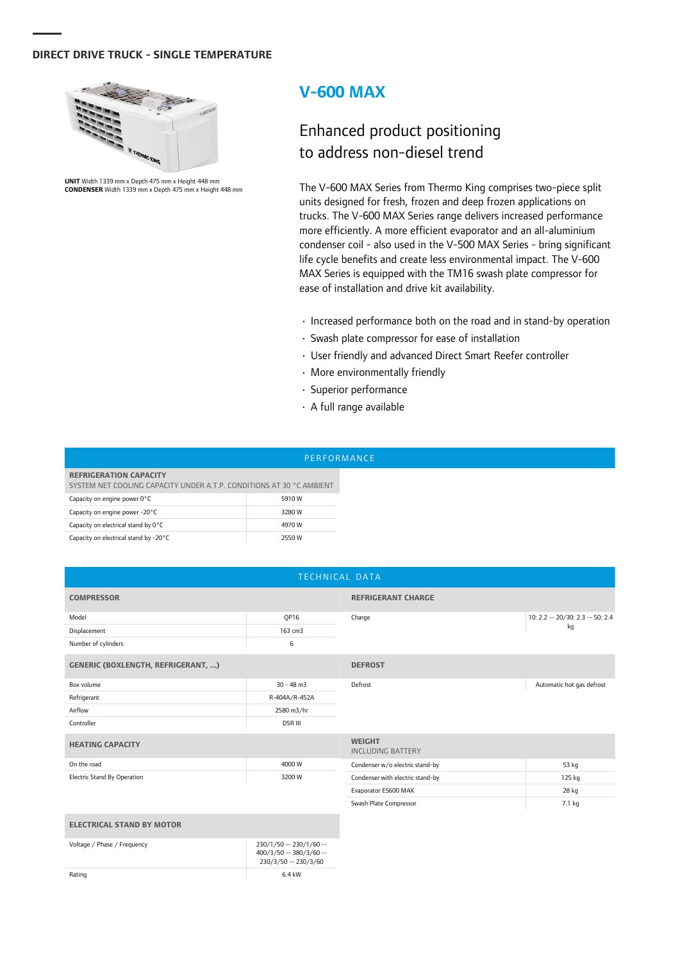## **DIRECT DRIVE TRUCK - SINGLE TEMPERATURE**



**UNIT** Width 1339 mm x Depth 475 mm x Height 448 mm **CONDENSER** Width 1339 mm x Depth 475 mm x Height 448 mm

## **V-600 MAX**

## Enhanced product positioning to address non-diesel trend

The V-600 MAX Series from Thermo King comprises two-piece split units designed for fresh, frozen and deep frozen applications on trucks. The V-600 MAX Series range delivers increased performance more efficiently. A more efficient evaporator and an all-aluminium condenser coil - also used in the V-500 MAX Series - bring significant life cycle benefits and create less environmental impact. The V-600 MAX Series is equipped with the TM16 swash plate compressor for ease of installation and drive kit availability.

- $\cdot$  Increased performance both on the road and in stand-by operation
- Swash plate compressor for ease of installation
- User friendly and advanced Direct Smart Reefer controller
- More environmentally friendly
- Superior performance
- $\cdot$  A full range available

|                                                                                                       | PERFORMANCE |  |
|-------------------------------------------------------------------------------------------------------|-------------|--|
| <b>REFRIGERATION CAPACITY</b><br>SYSTEM NET COOLING CAPACITY UNDER A.T.P. CONDITIONS AT 30 °C AMBIENT |             |  |
| Capacity on engine power 0°C                                                                          | 5910 W      |  |
| Capacity on engine power -20°C                                                                        | 3280 W      |  |
| Capacity on electrical stand by 0°C                                                                   | 4970 W      |  |
| Capacity on electrical stand by -20°C                                                                 | 2550 W      |  |

| TECHNICAL DATA                            |                     |                                           |                                  |  |  |
|-------------------------------------------|---------------------|-------------------------------------------|----------------------------------|--|--|
| <b>COMPRESSOR</b>                         |                     | <b>REFRIGERANT CHARGE</b>                 |                                  |  |  |
| Model                                     | QP16                | Charge                                    | 10: 2.2 -- 20/30: 2.3 -- 50: 2.4 |  |  |
| Displacement                              | 163 cm3             |                                           | kg                               |  |  |
| Number of cylinders                       | 6                   |                                           |                                  |  |  |
| <b>GENERIC (BOXLENGTH, REFRIGERANT, )</b> |                     | <b>DEFROST</b>                            |                                  |  |  |
| Box volume                                | $30 - 48$ m $3$     | Defrost                                   | Automatic hot gas defrost        |  |  |
| Refrigerant                               | R-404A/R-452A       |                                           |                                  |  |  |
| Airflow                                   | 2580 m3/hr          |                                           |                                  |  |  |
| Controller                                | <b>DSR III</b>      |                                           |                                  |  |  |
| <b>HEATING CAPACITY</b>                   |                     | <b>WEIGHT</b><br><b>INCLUDING BATTERY</b> |                                  |  |  |
| On the road                               | 4000W               | Condenser w/o electric stand-by           | 53 kg                            |  |  |
| <b>Electric Stand By Operation</b>        | 3200W               | Condenser with electric stand-by          | 125 kg                           |  |  |
|                                           |                     | Evaporator ES600 MAX                      | 28 kg                            |  |  |
|                                           |                     | Swash Plate Compressor                    | 7.1 kg                           |  |  |
| <b>ELECTRICAL STAND BY MOTOR</b>          |                     |                                           |                                  |  |  |
| $\mathcal{M}$ is the set of $\mathcal{M}$ | $220H$ $F_2$ $220H$ |                                           |                                  |  |  |

| Voltage / Phase / Frequency | 230/1/50 -- 230/1/60 --<br>400/3/50 -- 380/3/60 --<br>230/3/50 -- 230/3/60 |
|-----------------------------|----------------------------------------------------------------------------|
| Rating                      | 6.4 kW                                                                     |